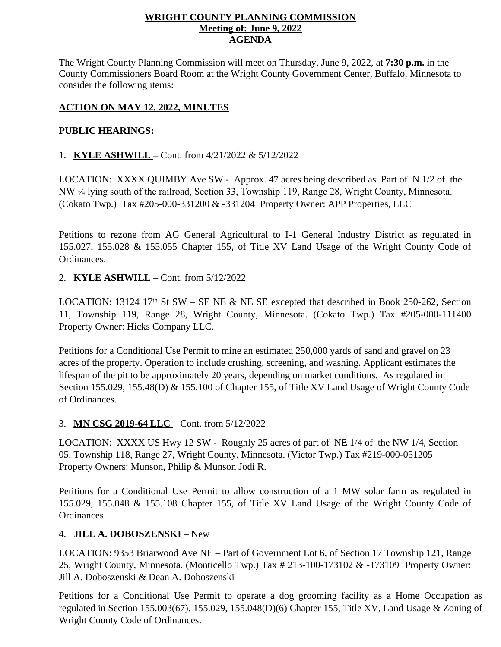### **WRIGHT COUNTY PLANNING COMMISSION Meeting of: June 9, 2022 AGENDA**

The Wright County Planning Commission will meet on Thursday, June 9, 2022, at **7:30 p.m.** in the County Commissioners Board Room at the Wright County Government Center, Buffalo, Minnesota to consider the following items:

# **ACTION ON MAY 12, 2022, MINUTES**

## **PUBLIC HEARINGS:**

1. **KYLE ASHWILL –** Cont. from 4/21/2022 & 5/12/2022

LOCATION: XXXX QUIMBY Ave SW - Approx. 47 acres being described as Part of N 1/2 of the NW ¼ lying south of the railroad, Section 33, Township 119, Range 28, Wright County, Minnesota. (Cokato Twp.) Tax #205-000-331200 & -331204 Property Owner: APP Properties, LLC

Petitions to rezone from AG General Agricultural to I-1 General Industry District as regulated in 155.027, 155.028 & 155.055 Chapter 155, of Title XV Land Usage of the Wright County Code of Ordinances.

## 2. **KYLE ASHWILL** – Cont. from 5/12/2022

LOCATION: 13124 17<sup>th</sup> St SW – SE NE & NE SE excepted that described in Book 250-262, Section 11, Township 119, Range 28, Wright County, Minnesota. (Cokato Twp.) Tax #205-000-111400 Property Owner: Hicks Company LLC.

Petitions for a Conditional Use Permit to mine an estimated 250,000 yards of sand and gravel on 23 acres of the property. Operation to include crushing, screening, and washing. Applicant estimates the lifespan of the pit to be approximately 20 years, depending on market conditions. As regulated in Section 155.029, 155.48(D) & 155.100 of Chapter 155, of Title XV Land Usage of Wright County Code of Ordinances.

#### 3. **MN CSG 2019-64 LLC** – Cont. from 5/12/2022

LOCATION: XXXX US Hwy 12 SW - Roughly 25 acres of part of NE 1/4 of the NW 1/4, Section 05, Township 118, Range 27, Wright County, Minnesota. (Victor Twp.) Tax #219-000-051205 Property Owners: Munson, Philip & Munson Jodi R.

Petitions for a Conditional Use Permit to allow construction of a 1 MW solar farm as regulated in 155.029, 155.048 & 155.108 Chapter 155, of Title XV Land Usage of the Wright County Code of **Ordinances** 

#### 4. **JILL A. DOBOSZENSKI** – New

LOCATION: 9353 Briarwood Ave NE – Part of Government Lot 6, of Section 17 Township 121, Range 25, Wright County, Minnesota. (Monticello Twp.) Tax # 213-100-173102 & -173109 Property Owner: Jill A. Doboszenski & Dean A. Doboszenski

Petitions for a Conditional Use Permit to operate a dog grooming facility as a Home Occupation as regulated in Section 155.003(67), 155.029, 155.048(D)(6) Chapter 155, Title XV, Land Usage & Zoning of Wright County Code of Ordinances.